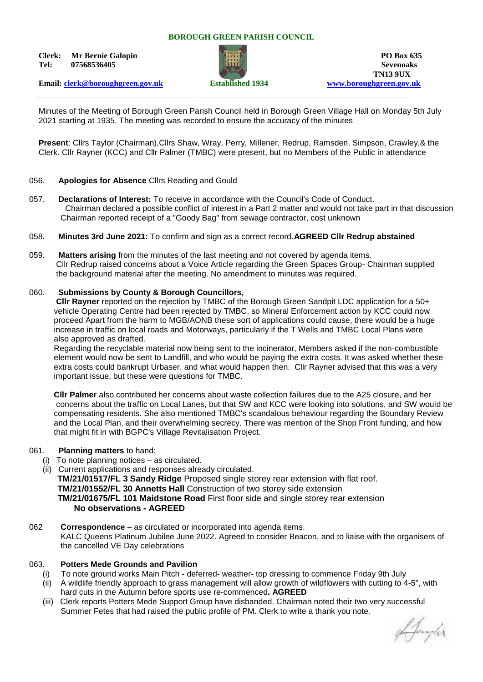#### **BOROUGH GREEN PARISH COUNCIL**

**Clerk: Mr Bernie Galopin PO Box 635 Tel: 07568536405 Sevenoaks**



**TN13 9UX Email: [clerk@boroughgreen.gov.uk](mailto:clerk@boroughgreen.gov.uk) Established 1934 [www.boroughgreen.gov.uk](http://www.boroughgreen.gov.uk/)**

Minutes of the Meeting of Borough Green Parish Council held in Borough Green Village Hall on Monday 5th July 2021 starting at 1935. The meeting was recorded to ensure the accuracy of the minutes

**Present**: Cllrs Taylor (Chairman),Cllrs Shaw, Wray, Perry, Millener, Redrup, Ramsden, Simpson, Crawley,& the Clerk. Cllr Rayner (KCC) and Cllr Palmer (TMBC) were present, but no Members of the Public in attendance

#### 056. **Apologies for Absence** Cllrs Reading and Gould

- 057. **Declarations of Interest:** To receive in accordance with the Council's Code of Conduct. Chairman declared a possible conflict of interest in a Part 2 matter and would not take part in that discussion Chairman reported receipt of a "Goody Bag" from sewage contractor, cost unknown
- 058. **Minutes 3rd June 2021:** To confirm and sign as a correct record.**AGREED Cllr Redrup abstained**
- 059. **Matters arising** from the minutes of the last meeting and not covered by agenda items. Cllr Redrup raised concerns about a Voice Article regarding the Green Spaces Group- Chairman supplied the background material after the meeting. No amendment to minutes was required.

#### 060. **Submissions by County & Borough Councillors,**

 **Cllr Rayner** reported on the rejection by TMBC of the Borough Green Sandpit LDC application for a 50+ vehicle Operating Centre had been rejected by TMBC, so Mineral Enforcement action by KCC could now proceed Apart from the harm to MGB/AONB these sort of applications could cause, there would be a huge increase in traffic on local roads and Motorways, particularly if the T Wells and TMBC Local Plans were also approved as drafted.

 Regarding the recyclable material now being sent to the incinerator, Members asked if the non-combustible element would now be sent to Landfill, and who would be paying the extra costs. It was asked whether these extra costs could bankrupt Urbaser, and what would happen then. Cllr Rayner advised that this was a very important issue, but these were questions for TMBC.

 **Cllr Palmer** also contributed her concerns about waste collection failures due to the A25 closure, and her concerns about the traffic on Local Lanes, but that SW and KCC were looking into solutions, and SW would be compensating residents. She also mentioned TMBC's scandalous behaviour regarding the Boundary Review and the Local Plan, and their overwhelming secrecy. There was mention of the Shop Front funding, and how that might fit in with BGPC's Village Revitalisation Project.

#### 061. **Planning matters** to hand:

- (i) To note planning notices as circulated.
- (ii) Current applications and responses already circulated.

 **TM/21/01517/FL 3 Sandy Ridge** Proposed single storey rear extension with flat roof.  **TM/21/01552/FL 30 Annetts Hall** Construction of two storey side extension **TM/21/01675/FL 101 Maidstone Road** First floor side and single storey rear extension **No observations - AGREED**

062 **Correspondence** – as circulated or incorporated into agenda items. KALC Queens Platinum Jubilee June 2022. Agreed to consider Beacon, and to liaise with the organisers of the cancelled VE Day celebrations

# 063. **Potters Mede Grounds and Pavilion**

- (i) To note ground works Main Pitch deferred- weather- top dressing to commence Friday 9th July
- (ii) A wildlife friendly approach to grass management will allow growth of wildflowers with cutting to 4-5", with hard cuts in the Autumn before sports use re-commenced**. AGREED**
- (iii) Clerk reports Potters Mede Support Group have disbanded. Chairman noted their two very successful Summer Fetes that had raised the public profile of PM. Clerk to write a thank you note.

Afangler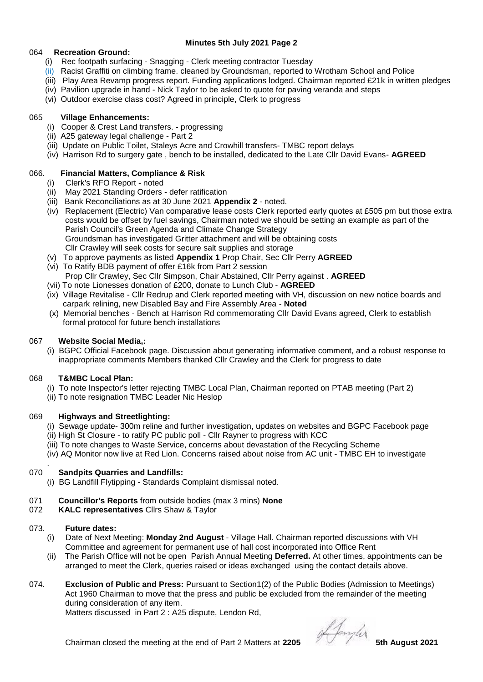## **Minutes 5th July 2021 Page 2**

## 064 **Recreation Ground:**

- (i) Rec footpath surfacing Snagging Clerk meeting contractor Tuesday
- (ii) Racist Graffiti on climbing frame. cleaned by Groundsman, reported to Wrotham School and Police
- (iii) Play Area Revamp progress report. Funding applications lodged. Chairman reported £21k in written pledges
- (iv) Pavilion upgrade in hand Nick Taylor to be asked to quote for paving veranda and steps
- (vi) Outdoor exercise class cost? Agreed in principle, Clerk to progress

## 065 **Village Enhancements:**

- (i) Cooper & Crest Land transfers. progressing
- (ii) A25 gateway legal challenge Part 2
- (iii) Update on Public Toilet, Staleys Acre and Crowhill transfers- TMBC report delays
- (iv) Harrison Rd to surgery gate , bench to be installed, dedicated to the Late Cllr David Evans- **AGREED**

## 066. **Financial Matters, Compliance & Risk**

- (i) Clerk's RFO Report noted
- (ii) May 2021 Standing Orders defer ratification
- (iii) Bank Reconciliations as at 30 June 2021 **Appendix 2** noted.
- (iv) Replacement (Electric) Van comparative lease costs Clerk reported early quotes at £505 pm but those extra costs would be offset by fuel savings, Chairman noted we should be setting an example as part of the Parish Council's Green Agenda and Climate Change Strategy Groundsman has investigated Gritter attachment and will be obtaining costs Cllr Crawley will seek costs for secure salt supplies and storage
- (v) To approve payments as listed **Appendix 1** Prop Chair, Sec Cllr Perry **AGREED**
- (vi) To Ratify BDB payment of offer £16k from Part 2 session Prop Cllr Crawley, Sec Cllr Simpson, Chair Abstained, Cllr Perry against . **AGREED**
- (vii) To note Lionesses donation of £200, donate to Lunch Club **AGREED**
- (ix) Village Revitalise Cllr Redrup and Clerk reported meeting with VH, discussion on new notice boards and carpark relining, new Disabled Bay and Fire Assembly Area - **Noted**
- (x) Memorial benches Bench at Harrison Rd commemorating Cllr David Evans agreed, Clerk to establish formal protocol for future bench installations

## 067 **Website Social Media,:**

 (i) BGPC Official Facebook page. Discussion about generating informative comment, and a robust response to inappropriate comments Members thanked Cllr Crawley and the Clerk for progress to date

## 068 **T&MBC Local Plan:**

- (i) To note Inspector's letter rejecting TMBC Local Plan, Chairman reported on PTAB meeting (Part 2)
- (ii) To note resignation TMBC Leader Nic Heslop

# 069 **Highways and Streetlighting:**

- (i) Sewage update- 300m reline and further investigation, updates on websites and BGPC Facebook page
- (ii) High St Closure to ratify PC public poll Cllr Rayner to progress with KCC
- (iii) To note changes to Waste Service, concerns about devastation of the Recycling Scheme
- (iv) AQ Monitor now live at Red Lion. Concerns raised about noise from AC unit TMBC EH to investigate

#### . 070 **Sandpits Quarries and Landfills:**

(i) BG Landfill Flytipping - Standards Complaint dismissal noted.

## 071 **Councillor's Reports** from outside bodies (max 3 mins) **None**

072 **KALC representatives** Cllrs Shaw & Taylor

## 073. **Future dates:**

- (i) Date of Next Meeting: **Monday 2nd August** Village Hall. Chairman reported discussions with VH Committee and agreement for permanent use of hall cost incorporated into Office Rent
- (ii) The Parish Office will not be open Parish Annual Meeting **Deferred.** At other times, appointments can be arranged to meet the Clerk, queries raised or ideas exchanged using the contact details above.
- 074. **Exclusion of Public and Press:** Pursuant to Section1(2) of the Public Bodies (Admission to Meetings) Act 1960 Chairman to move that the press and public be excluded from the remainder of the meeting during consideration of any item.

Matters discussed in Part 2 : A25 dispute, Lendon Rd,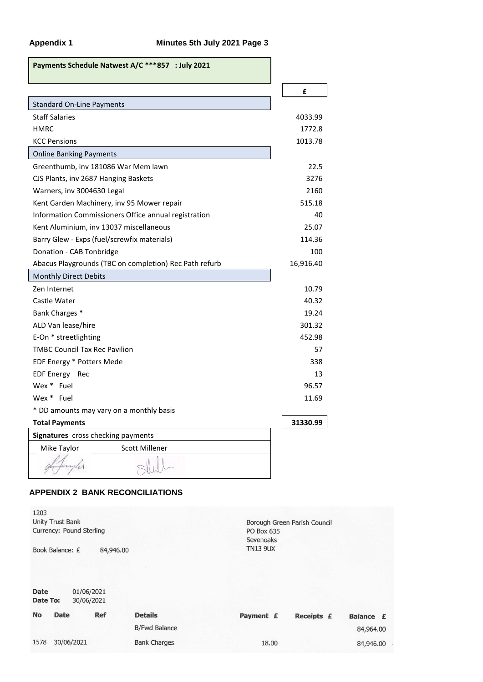| Payments Schedule Natwest A/C ***857 : July 2021       |           |
|--------------------------------------------------------|-----------|
|                                                        | £         |
| <b>Standard On-Line Payments</b>                       |           |
| <b>Staff Salaries</b>                                  | 4033.99   |
| <b>HMRC</b>                                            | 1772.8    |
| <b>KCC Pensions</b>                                    | 1013.78   |
| <b>Online Banking Payments</b>                         |           |
| Greenthumb, inv 181086 War Mem lawn                    | 22.5      |
| CJS Plants, inv 2687 Hanging Baskets                   | 3276      |
| Warners, inv 3004630 Legal                             | 2160      |
| Kent Garden Machinery, inv 95 Mower repair             | 515.18    |
| Information Commissioners Office annual registration   | 40        |
| Kent Aluminium, inv 13037 miscellaneous                | 25.07     |
| Barry Glew - Exps (fuel/screwfix materials)            | 114.36    |
| Donation - CAB Tonbridge                               | 100       |
| Abacus Playgrounds (TBC on completion) Rec Path refurb | 16,916.40 |
| Monthly Direct Debits                                  |           |
| Zen Internet                                           | 10.79     |
| Castle Water                                           | 40.32     |
| Bank Charges *                                         | 19.24     |
| ALD Van lease/hire                                     | 301.32    |
| E-On * streetlighting                                  | 452.98    |
| <b>TMBC Council Tax Rec Pavilion</b>                   | 57        |
| EDF Energy * Potters Mede                              | 338       |
| EDF Energy Rec                                         | 13        |
| Wex * Fuel                                             | 96.57     |
| Wex * Fuel                                             | 11.69     |
| * DD amounts may vary on a monthly basis               |           |
| <b>Total Payments</b>                                  | 31330.99  |
| Signatures cross checking payments                     |           |
| Mike Taylor<br><b>Scott Millener</b>                   |           |
|                                                        |           |

# **APPENDIX 2 BANK RECONCILIATIONS**

|                      | PO Box 635<br>Sevenoaks |            |                              |
|----------------------|-------------------------|------------|------------------------------|
| 84,946.00            | <b>TN13 9UX</b>         |            |                              |
|                      |                         |            |                              |
|                      |                         |            |                              |
|                      |                         |            |                              |
| <b>Details</b>       | Payment £               | Receipts £ | Balance £                    |
| <b>B/Fwd Balance</b> |                         |            | 84,964.00                    |
| <b>Bank Charges</b>  | 18.00                   |            | 84,946.00                    |
|                      |                         |            | Borough Green Parish Council |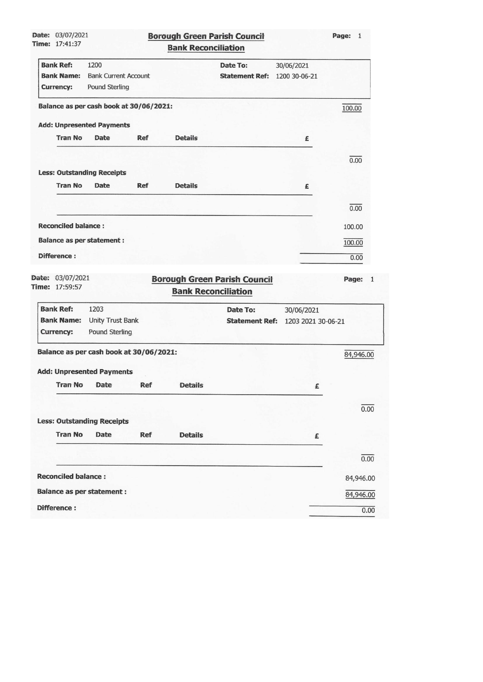| <b>Date: 03/07/2021</b>                 |                                         |            |                            | <b>Borough Green Parish Council</b>                               |                             | Page: 1   |
|-----------------------------------------|-----------------------------------------|------------|----------------------------|-------------------------------------------------------------------|-----------------------------|-----------|
| Time: 17:41:37                          |                                         |            | <b>Bank Reconciliation</b> |                                                                   |                             |           |
| <b>Bank Ref:</b><br><b>Bank Name:</b>   | 1200<br><b>Bank Current Account</b>     |            |                            | <b>Date To:</b><br><b>Statement Ref:</b>                          | 30/06/2021<br>1200 30-06-21 |           |
| Currency:                               | Pound Sterling                          |            |                            |                                                                   |                             |           |
| Balance as per cash book at 30/06/2021: |                                         |            |                            |                                                                   |                             | 100.00    |
| <b>Add: Unpresented Payments</b>        |                                         |            |                            |                                                                   |                             |           |
| <b>Tran No</b>                          | Date                                    | <b>Ref</b> | <b>Details</b>             |                                                                   | £                           |           |
|                                         |                                         |            |                            |                                                                   |                             | 0.00      |
| <b>Less: Outstanding Receipts</b>       |                                         |            |                            |                                                                   |                             |           |
| <b>Tran No</b>                          | <b>Date</b>                             | <b>Ref</b> | <b>Details</b>             |                                                                   | £                           |           |
|                                         |                                         |            |                            |                                                                   |                             | 0.00      |
| <b>Reconciled balance:</b>              |                                         |            |                            |                                                                   |                             | 100.00    |
| <b>Balance as per statement:</b>        |                                         |            |                            |                                                                   |                             | 100.00    |
| Difference:                             |                                         |            |                            |                                                                   |                             | 0.00      |
|                                         |                                         |            |                            |                                                                   |                             |           |
| Date: 03/07/2021<br>Time: 17:59:57      |                                         |            |                            | <b>Borough Green Parish Council</b><br><b>Bank Reconciliation</b> |                             | Page:     |
| <b>Bank Ref:</b>                        | 1203                                    |            |                            | Date To:                                                          | 30/06/2021                  |           |
| <b>Bank Name:</b>                       | <b>Unity Trust Bank</b>                 |            |                            | <b>Statement Ref:</b>                                             | 1203 2021 30-06-21          |           |
| <b>Currency:</b>                        | Pound Sterling                          |            |                            |                                                                   |                             |           |
|                                         | Balance as per cash book at 30/06/2021: |            |                            |                                                                   |                             | 84,946.00 |
|                                         | <b>Add: Unpresented Payments</b>        |            |                            |                                                                   |                             |           |
| <b>Tran No</b>                          | Date                                    | Ref        | <b>Details</b>             |                                                                   | £                           |           |
|                                         |                                         |            |                            |                                                                   |                             | 0.00      |
| <b>Less: Outstanding Receipts</b>       |                                         |            |                            |                                                                   |                             |           |
| <b>Tran No</b>                          | <b>Date</b>                             | <b>Ref</b> | <b>Details</b>             |                                                                   | £                           |           |
|                                         |                                         |            |                            |                                                                   |                             | 0.00      |
| <b>Reconciled balance:</b>              |                                         |            |                            |                                                                   |                             | 84,946.00 |
| <b>Balance as per statement:</b>        |                                         |            |                            |                                                                   |                             |           |
|                                         |                                         |            |                            |                                                                   |                             | 84,946.00 |

┚